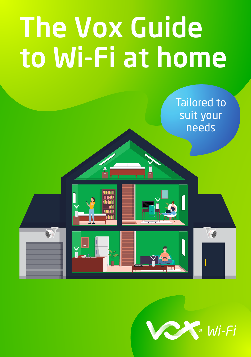# The Vox Guide to Wi-Fi at home



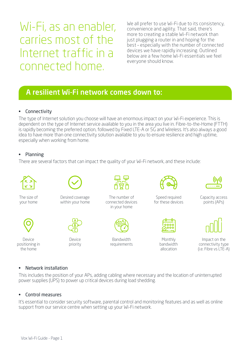## Wi-Fi, as an enabler, carries most of the Internet traffic in a connected home.

We all prefer to use Wi-Fi due to its consistency. convenience and agility. That said, there's more to creating a stable Wi-Fi network than just plugging a router in and hoping for the best – especially with the number of connected devices we have rapidly increasing. Outlined below are a few home Wi-Fi essentials we feel everyone should know.

### A resilient Wi-Fi network comes down to:

#### • Connectivity

The type of Internet solution you choose will have an enormous impact on your Wi-Fi experience. This is dependent on the type of Internet service available to you in the area you live in. Fibre-to-the-Home (FTTH) is rapidly becoming the preferred option, followed by Fixed LTE-A or 5G and Wireless. It's also always a good idea to have more than one connectivity solution available to you to ensure resilience and high uptime, especially when working from home.

#### • Planning

There are several factors that can impact the quality of your Wi-Fi network, and these include:



#### • Network installation

This includes the position of your APs, adding cabling where necessary and the location of uninterrupted power supplies (UPS) to power up critical devices during load shedding.

#### • Control measures

It's essential to consider security software, parental control and monitoring features and as well as online support from our service centre when setting up your Wi-Fi network.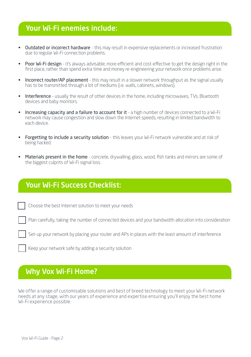## Your Wi-Fi enemies include:

- Outdated or incorrect hardware this may result in expensive replacements or increased frustration due to regular Wi-Fi connection problems.
- Poor Wi-Fi design it's always advisable, more efficient and cost-effective to get the design right in the first place, rather than spend extra time and money re-engineering your network once problems arise.
- Incorrect router/AP placement this may result in a slower network throughput as the signal usually has to be transmitted through a lot of mediums (i.e. walls, cabinets, windows).
- Interference usually the result of other devices in the home, including microwaves, TVs, Bluetooth devices and baby monitors.
- Increasing capacity and a failure to account for it a high number of devices connected to a Wi-Fi network may cause congestion and slow down the Internet speeds, resulting in limited bandwidth to each device.
- Forgetting to include a security solution this leaves your Wi-Fi network vulnerable and at risk of being hacked.
- Materials present in the home concrete, drywalling, glass, wood, fish tanks and mirrors are some of the biggest culprits of Wi-Fi signal loss.

## Your Wi-Fi Success Checklist:

Choose the best Internet solution to meet your needs

Plan carefully, taking the number of connected devices and your bandwidth allocation into consideration

Set-up your network by placing your router and APs in places with the least amount of interference

Keep your network safe by adding a security solution

## Why Vox Wi-Fi Home?

We offer a range of customisable solutions and best of breed technology to meet your Wi-Fi network needs at any stage, with our years of experience and expertise ensuring you'll enjoy the best home Wi-Fi experience possible.